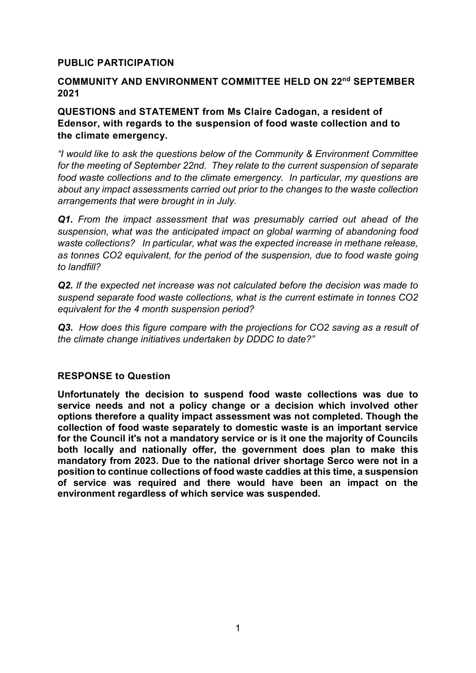# **PUBLIC PARTICIPATION**

### **COMMUNITY AND ENVIRONMENT COMMITTEE HELD ON 22nd SEPTEMBER 2021**

## **QUESTIONS and STATEMENT from Ms Claire Cadogan, a resident of Edensor, with regards to the suspension of food waste collection and to the climate emergency.**

*"I would like to ask the questions below of the Community & Environment Committee for the meeting of September 22nd. They relate to the current suspension of separate food waste collections and to the climate emergency. In particular, my questions are about any impact assessments carried out prior to the changes to the waste collection arrangements that were brought in in July.* 

*Q1. From the impact assessment that was presumably carried out ahead of the suspension, what was the anticipated impact on global warming of abandoning food waste collections? In particular, what was the expected increase in methane release, as tonnes CO2 equivalent, for the period of the suspension, due to food waste going to landfill?*

*Q2. If the expected net increase was not calculated before the decision was made to suspend separate food waste collections, what is the current estimate in tonnes CO2 equivalent for the 4 month suspension period?*

*Q3. How does this figure compare with the projections for CO2 saving as a result of the climate change initiatives undertaken by DDDC to date?"*

#### **RESPONSE to Question**

**Unfortunately the decision to suspend food waste collections was due to service needs and not a policy change or a decision which involved other options therefore a quality impact assessment was not completed. Though the collection of food waste separately to domestic waste is an important service for the Council it's not a mandatory service or is it one the majority of Councils both locally and nationally offer, the government does plan to make this mandatory from 2023. Due to the national driver shortage Serco were not in a position to continue collections of food waste caddies at this time, a suspension of service was required and there would have been an impact on the environment regardless of which service was suspended.**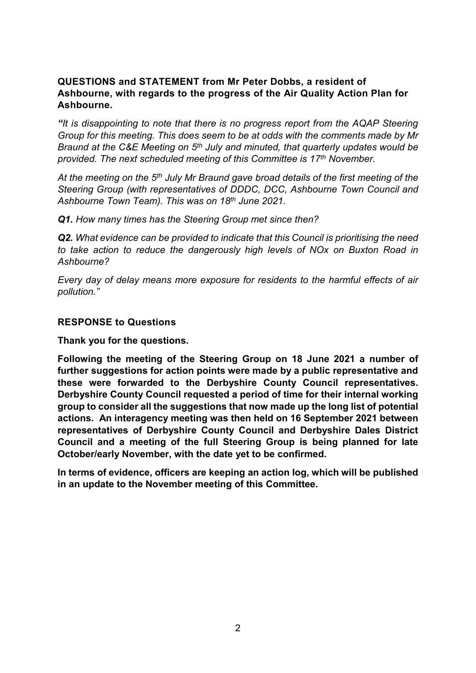# **QUESTIONS and STATEMENT from Mr Peter Dobbs, a resident of Ashbourne, with regards to the progress of the Air Quality Action Plan for Ashbourne.**

*"It is disappointing to note that there is no progress report from the AQAP Steering Group for this meeting. This does seem to be at odds with the comments made by Mr Braund at the C&E Meeting on 5th July and minuted, that quarterly updates would be provided. The next scheduled meeting of this Committee is 17th November.* 

*At the meeting on the 5th July Mr Braund gave broad details of the first meeting of the Steering Group (with representatives of DDDC, DCC, Ashbourne Town Council and Ashbourne Town Team). This was on 18th June 2021.*

*Q1. How many times has the Steering Group met since then?* 

*Q2. What evidence can be provided to indicate that this Council is prioritising the need to take action to reduce the dangerously high levels of NOx on Buxton Road in Ashbourne?*

*Every day of delay means more exposure for residents to the harmful effects of air pollution."*

#### **RESPONSE to Questions**

**Thank you for the questions.**

**Following the meeting of the Steering Group on 18 June 2021 a number of further suggestions for action points were made by a public representative and these were forwarded to the Derbyshire County Council representatives. Derbyshire County Council requested a period of time for their internal working group to consider all the suggestions that now made up the long list of potential actions. An interagency meeting was then held on 16 September 2021 between representatives of Derbyshire County Council and Derbyshire Dales District Council and a meeting of the full Steering Group is being planned for late October/early November, with the date yet to be confirmed.**

**In terms of evidence, officers are keeping an action log, which will be published in an update to the November meeting of this Committee.**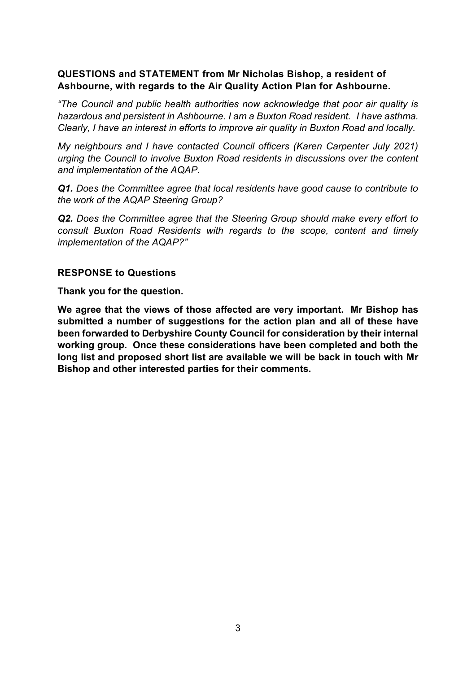# **QUESTIONS and STATEMENT from Mr Nicholas Bishop, a resident of Ashbourne, with regards to the Air Quality Action Plan for Ashbourne.**

*"The Council and public health authorities now acknowledge that poor air quality is hazardous and persistent in Ashbourne. I am a Buxton Road resident. I have asthma. Clearly, I have an interest in efforts to improve air quality in Buxton Road and locally.*

*My neighbours and I have contacted Council officers (Karen Carpenter July 2021) urging the Council to involve Buxton Road residents in discussions over the content and implementation of the AQAP.*

*Q1. Does the Committee agree that local residents have good cause to contribute to the work of the AQAP Steering Group?* 

*Q2. Does the Committee agree that the Steering Group should make every effort to consult Buxton Road Residents with regards to the scope, content and timely implementation of the AQAP?"*

#### **RESPONSE to Questions**

**Thank you for the question.**

**We agree that the views of those affected are very important. Mr Bishop has submitted a number of suggestions for the action plan and all of these have been forwarded to Derbyshire County Council for consideration by their internal working group. Once these considerations have been completed and both the long list and proposed short list are available we will be back in touch with Mr Bishop and other interested parties for their comments.**